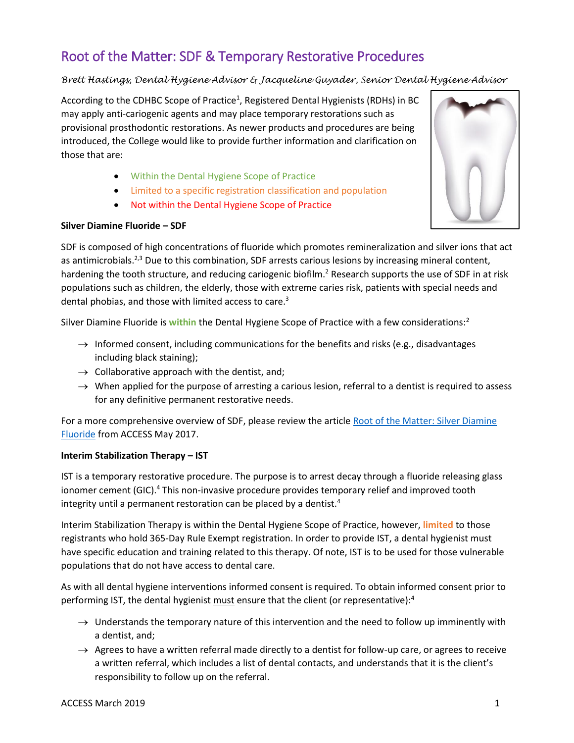# Root of the Matter: SDF & Temporary Restorative Procedures

## *Brett Hastings, Dental Hygiene Advisor & Jacqueline Guyader, Senior Dental Hygiene Advisor*

According to the CDHBC Scope of Practice<sup>1</sup>, Registered Dental Hygienists (RDHs) in BC may apply anti-cariogenic agents and may place temporary restorations such as provisional prosthodontic restorations. As newer products and procedures are being introduced, the College would like to provide further information and clarification on those that are:

- Within the Dental Hygiene Scope of Practice
- Limited to a specific registration classification and population
- Not within the Dental Hygiene Scope of Practice

### **Silver Diamine Fluoride – SDF**

SDF is composed of high concentrations of fluoride which promotes remineralization and silver ions that act as antimicrobials.<sup>2,3</sup> Due to this combination, SDF arrests carious lesions by increasing mineral content, hardening the tooth structure, and reducing cariogenic biofilm.<sup>2</sup> Research supports the use of SDF in at risk populations such as children, the elderly, those with extreme caries risk, patients with special needs and dental phobias, and those with limited access to care.<sup>3</sup>

Silver Diamine Fluoride is **within** the Dental Hygiene Scope of Practice with a few considerations: 2

- $\rightarrow$  Informed consent, including communications for the benefits and risks (e.g., disadvantages including black staining);
- $\rightarrow$  Collaborative approach with the dentist, and;
- $\rightarrow$  When applied for the purpose of arresting a carious lesion, referral to a dentist is required to assess for any definitive permanent restorative needs.

For a more comprehensive overview of SDF, please review the article Root of the Matter: Silver Diamine [Fluoride](http://www.cdhbc.com/Documents/Root-of-the-Matter-May-2017.aspx) from ACCESS May 2017.

### **Interim Stabilization Therapy – IST**

IST is a temporary restorative procedure. The purpose is to arrest decay through a fluoride releasing glass ionomer cement (GIC).<sup>4</sup> This non-invasive procedure provides temporary relief and improved tooth integrity until a permanent restoration can be placed by a dentist.<sup>4</sup>

Interim Stabilization Therapy is within the Dental Hygiene Scope of Practice, however, **limited** to those registrants who hold 365-Day Rule Exempt registration. In order to provide IST, a dental hygienist must have specific education and training related to this therapy. Of note, IST is to be used for those vulnerable populations that do not have access to dental care.

As with all dental hygiene interventions informed consent is required. To obtain informed consent prior to performing IST, the dental hygienist must ensure that the client (or representative): $4$ 

- $\rightarrow$  Understands the temporary nature of this intervention and the need to follow up imminently with a dentist, and;
- $\rightarrow$  Agrees to have a written referral made directly to a dentist for follow-up care, or agrees to receive a written referral, which includes a list of dental contacts, and understands that it is the client's responsibility to follow up on the referral.